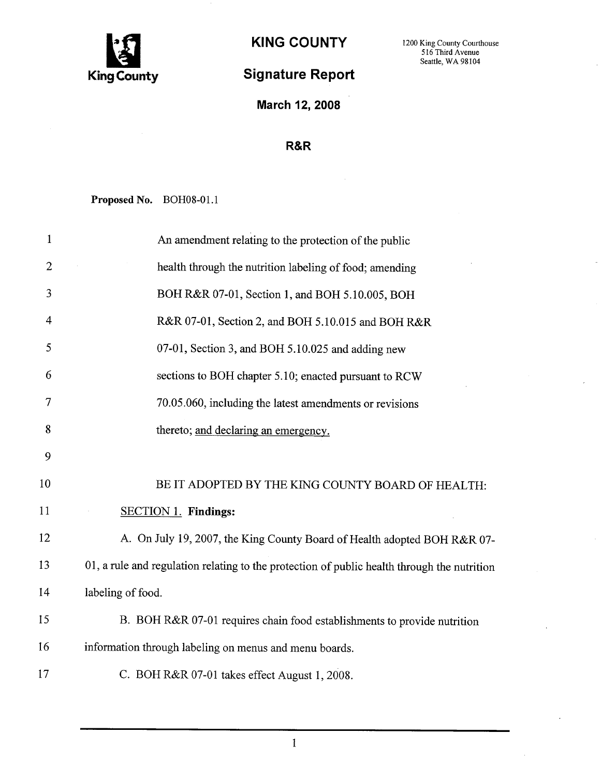

## Signature Report

KING COUNTY 1200 King County Courthouse Seattle, WA 98104

March 12, 2008

## R&R

Proposed No. BOH08-01.1

| $\mathbf{1}$   | An amendment relating to the protection of the public                                       |
|----------------|---------------------------------------------------------------------------------------------|
| $\overline{2}$ | health through the nutrition labeling of food; amending                                     |
| 3              | BOH R&R 07-01, Section 1, and BOH 5.10.005, BOH                                             |
| $\overline{4}$ | R&R 07-01, Section 2, and BOH 5.10.015 and BOH R&R                                          |
| 5              | 07-01, Section 3, and BOH 5.10.025 and adding new                                           |
| 6              | sections to BOH chapter 5.10; enacted pursuant to RCW                                       |
| 7              | 70.05.060, including the latest amendments or revisions                                     |
| 8              | thereto; and declaring an emergency.                                                        |
| 9              |                                                                                             |
| 10             | BE IT ADOPTED BY THE KING COUNTY BOARD OF HEALTH:                                           |
| 11             | <b>SECTION 1. Findings:</b>                                                                 |
| 12             | A. On July 19, 2007, the King County Board of Health adopted BOH R&R 07-                    |
| 13             | 01, a rule and regulation relating to the protection of public health through the nutrition |
| 14             | labeling of food.                                                                           |
| 15             | B. BOH R&R 07-01 requires chain food establishments to provide nutrition                    |
| 16             | information through labeling on menus and menu boards.                                      |
| 17             | C. BOH R&R 07-01 takes effect August 1, 2008.                                               |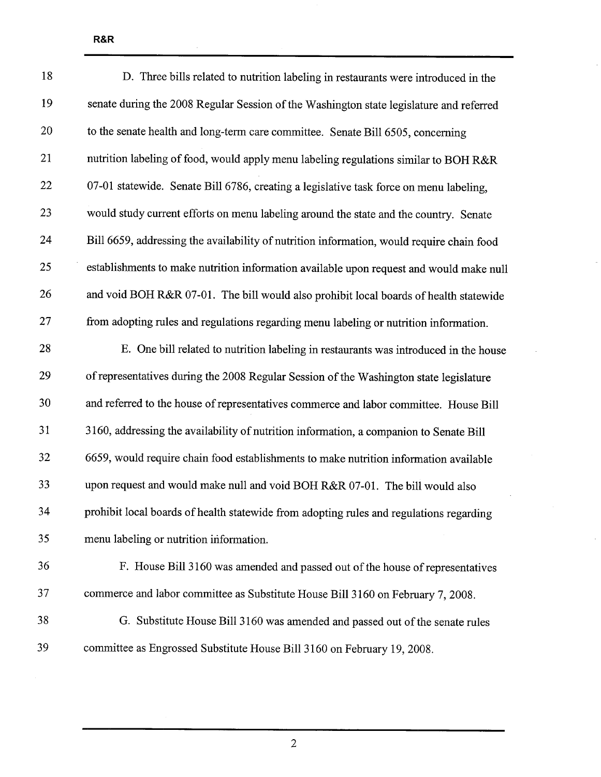| 18 | D. Three bills related to nutrition labeling in restaurants were introduced in the        |
|----|-------------------------------------------------------------------------------------------|
| 19 | senate during the 2008 Regular Session of the Washington state legislature and referred   |
| 20 | to the senate health and long-term care committee. Senate Bill 6505, concerning           |
| 21 | nutrition labeling of food, would apply menu labeling regulations similar to BOH R&R      |
| 22 | 07-01 statewide. Senate Bill 6786, creating a legislative task force on menu labeling,    |
| 23 | would study current efforts on menu labeling around the state and the country. Senate     |
| 24 | Bill 6659, addressing the availability of nutrition information, would require chain food |
| 25 | establishments to make nutrition information available upon request and would make null   |
| 26 | and void BOH R&R 07-01. The bill would also prohibit local boards of health statewide     |
| 27 | from adopting rules and regulations regarding menu labeling or nutrition information.     |
| 28 | E. One bill related to nutrition labeling in restaurants was introduced in the house      |
| 29 | of representatives during the 2008 Regular Session of the Washington state legislature    |
| 30 | and referred to the house of representatives commerce and labor committee. House Bill     |
| 31 | 3160, addressing the availability of nutrition information, a companion to Senate Bill    |
| 32 | 6659, would require chain food establishments to make nutrition information available     |
| 33 | upon request and would make null and void BOH R&R 07-01. The bill would also              |
| 34 | prohibit local boards of health statewide from adopting rules and regulations regarding   |
| 35 | menu labeling or nutrition information.                                                   |
| 36 | F. House Bill 3160 was amended and passed out of the house of representatives             |
| 37 | commerce and labor committee as Substitute House Bill 3160 on February 7, 2008.           |
| 38 | G. Substitute House Bill 3160 was amended and passed out of the senate rules              |
| 39 | committee as Engrossed Substitute House Bill 3160 on February 19, 2008.                   |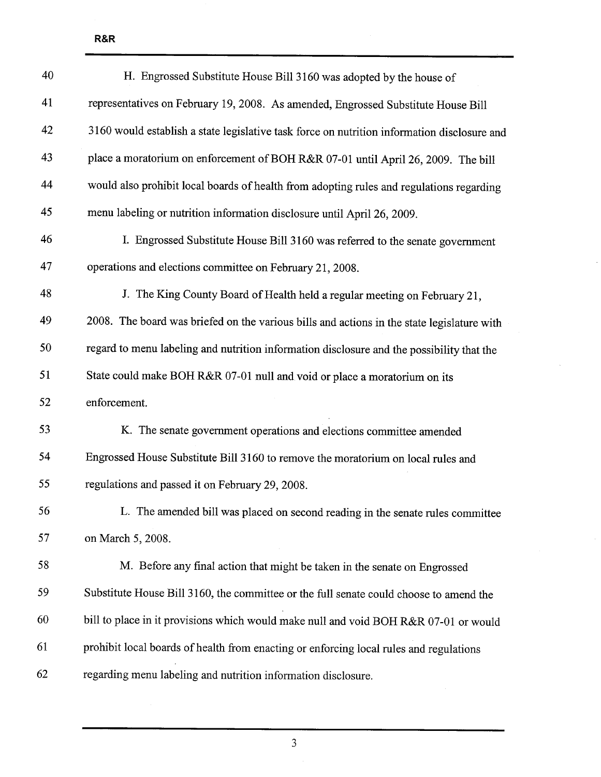| 40 | H. Engrossed Substitute House Bill 3160 was adopted by the house of                         |
|----|---------------------------------------------------------------------------------------------|
| 41 | representatives on February 19, 2008. As amended, Engrossed Substitute House Bill           |
| 42 | 3160 would establish a state legislative task force on nutrition information disclosure and |
| 43 | place a moratorium on enforcement of BOH R&R 07-01 until April 26, 2009. The bill           |
| 44 | would also prohibit local boards of health from adopting rules and regulations regarding    |
| 45 | menu labeling or nutrition information disclosure until April 26, 2009.                     |
| 46 | I. Engrossed Substitute House Bill 3160 was referred to the senate government               |
| 47 | operations and elections committee on February 21, 2008.                                    |
| 48 | J. The King County Board of Health held a regular meeting on February 21,                   |
| 49 | 2008. The board was briefed on the various bills and actions in the state legislature with  |
| 50 | regard to menu labeling and nutrition information disclosure and the possibility that the   |
| 51 | State could make BOH R&R 07-01 null and void or place a moratorium on its                   |
| 52 | enforcement.                                                                                |
| 53 | K. The senate government operations and elections committee amended                         |
| 54 | Engrossed House Substitute Bill 3160 to remove the moratorium on local rules and            |
| 55 | regulations and passed it on February 29, 2008.                                             |
| 56 | L. The amended bill was placed on second reading in the senate rules committee              |
| 57 | on March 5, 2008.                                                                           |
| 58 | M. Before any final action that might be taken in the senate on Engrossed                   |
| 59 | Substitute House Bill 3160, the committee or the full senate could choose to amend the      |
| 60 | bill to place in it provisions which would make null and void BOH R&R 07-01 or would        |
| 61 | prohibit local boards of health from enacting or enforcing local rules and regulations      |
| 62 | regarding menu labeling and nutrition information disclosure.                               |

 $\bar{z}$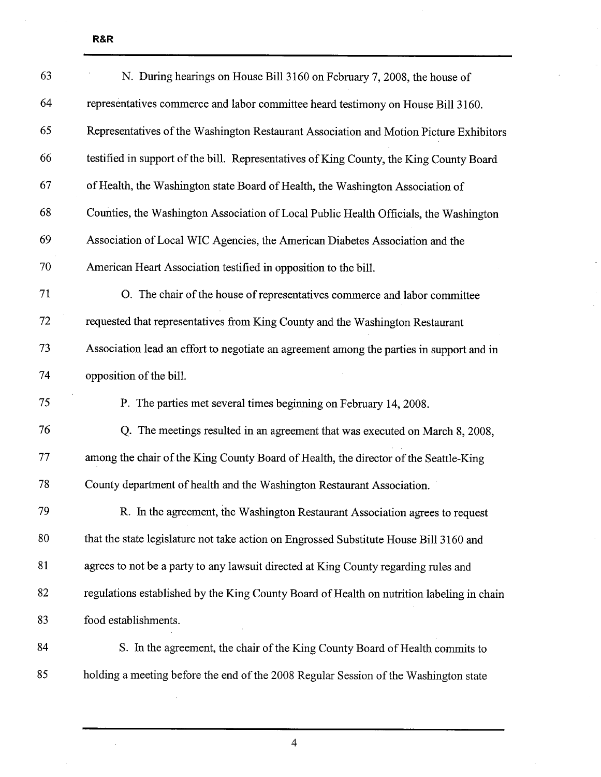$\hat{\boldsymbol{\epsilon}}$ 

| 63 | N. During hearings on House Bill 3160 on February 7, 2008, the house of                         |
|----|-------------------------------------------------------------------------------------------------|
| 64 | representatives commerce and labor committee heard testimony on House Bill 3160.                |
| 65 | Representatives of the Washington Restaurant Association and Motion Picture Exhibitors          |
| 66 | testified in support of the bill. Representatives of King County, the King County Board         |
| 67 | of Health, the Washington state Board of Health, the Washington Association of                  |
| 68 | Counties, the Washington Association of Local Public Health Officials, the Washington           |
| 69 | Association of Local WIC Agencies, the American Diabetes Association and the                    |
| 70 | American Heart Association testified in opposition to the bill.                                 |
| 71 | O. The chair of the house of representatives commerce and labor committee                       |
| 72 | requested that representatives from King County and the Washington Restaurant                   |
| 73 | Association lead an effort to negotiate an agreement among the parties in support and in        |
| 74 | opposition of the bill.                                                                         |
| 75 | P. The parties met several times beginning on February 14, 2008.                                |
| 76 | Q. The meetings resulted in an agreement that was executed on March 8, 2008,                    |
| 77 | among the chair of the King County Board of Health, the director of the Seattle-King            |
| 78 | County department of health and the Washington Restaurant Association.                          |
| 79 | $\sim 10^{-11}$<br>R. In the agreement, the Washington Restaurant Association agrees to request |
| 80 | that the state legislature not take action on Engrossed Substitute House Bill 3160 and          |
| 81 | agrees to not be a party to any lawsuit directed at King County regarding rules and             |
| 82 | regulations established by the King County Board of Health on nutrition labeling in chain       |
| 83 | food establishments.                                                                            |
| 84 | S. In the agreement, the chair of the King County Board of Health commits to                    |
| 85 | holding a meeting before the end of the 2008 Regular Session of the Washington state            |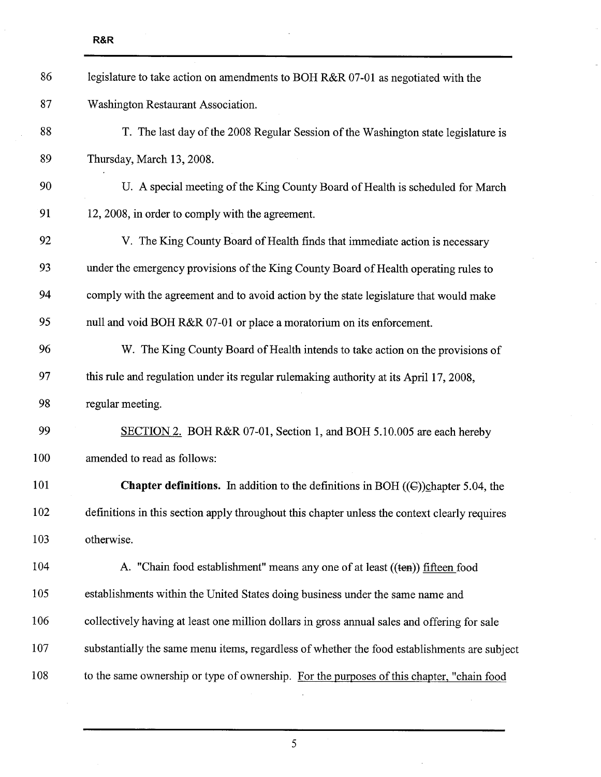| 86  | legislature to take action on amendments to BOH R&R 07-01 as negotiated with the              |
|-----|-----------------------------------------------------------------------------------------------|
| 87  | Washington Restaurant Association.                                                            |
| 88  | T. The last day of the 2008 Regular Session of the Washington state legislature is            |
| 89  | Thursday, March 13, 2008.                                                                     |
| 90  | U. A special meeting of the King County Board of Health is scheduled for March                |
| 91  | 12, 2008, in order to comply with the agreement.                                              |
| 92  | V. The King County Board of Health finds that immediate action is necessary                   |
| 93  | under the emergency provisions of the King County Board of Health operating rules to          |
| 94  | comply with the agreement and to avoid action by the state legislature that would make        |
| 95  | null and void BOH R&R 07-01 or place a moratorium on its enforcement.                         |
| 96  | W. The King County Board of Health intends to take action on the provisions of                |
| 97  | this rule and regulation under its regular rulemaking authority at its April 17, 2008,        |
| 98  | regular meeting.                                                                              |
| 99  | SECTION 2. BOH R&R 07-01, Section 1, and BOH 5.10.005 are each hereby                         |
| 100 | amended to read as follows:                                                                   |
| 101 | <b>Chapter definitions.</b> In addition to the definitions in BOH $((C))$ chapter 5.04, the   |
| 102 | definitions in this section apply throughout this chapter unless the context clearly requires |
| 103 | otherwise.                                                                                    |
| 104 | A. "Chain food establishment" means any one of at least ((ten)) fifteen food                  |
| 105 | establishments within the United States doing business under the same name and                |
| 106 | collectively having at least one million dollars in gross annual sales and offering for sale  |
| 107 | substantially the same menu items, regardless of whether the food establishments are subject  |
| 108 | to the same ownership or type of ownership. For the purposes of this chapter, "chain food     |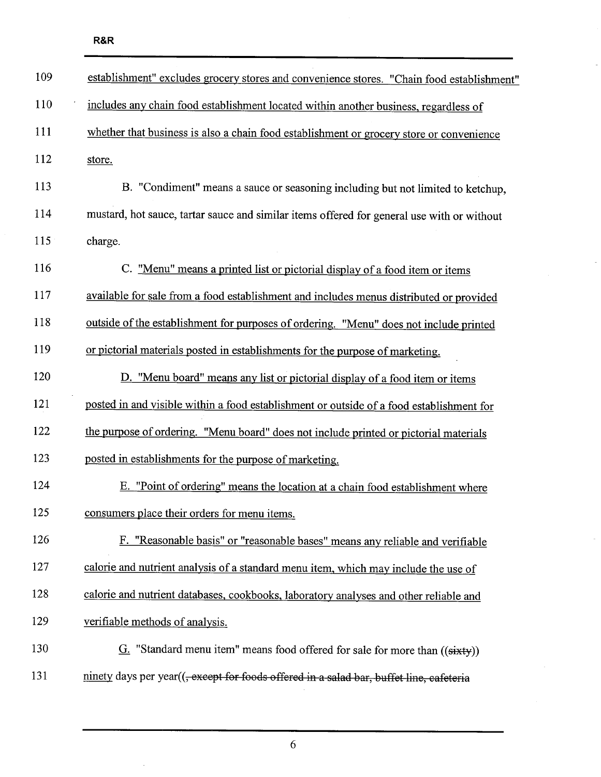| 109 | establishment" excludes grocery stores and convenience stores. "Chain food establishment"           |
|-----|-----------------------------------------------------------------------------------------------------|
| 110 | includes any chain food establishment located within another business, regardless of                |
| 111 | whether that business is also a chain food establishment or grocery store or convenience            |
| 112 | store.                                                                                              |
| 113 | B. "Condiment" means a sauce or seasoning including but not limited to ketchup,                     |
| 114 | mustard, hot sauce, tartar sauce and similar items offered for general use with or without          |
| 115 | charge.                                                                                             |
| 116 | C. "Menu" means a printed list or pictorial display of a food item or items                         |
| 117 | available for sale from a food establishment and includes menus distributed or provided             |
| 118 | outside of the establishment for purposes of ordering. "Menu" does not include printed              |
| 119 | or pictorial materials posted in establishments for the purpose of marketing.                       |
| 120 | D. "Menu board" means any list or pictorial display of a food item or items                         |
| 121 | posted in and visible within a food establishment or outside of a food establishment for            |
| 122 | the purpose of ordering. "Menu board" does not include printed or pictorial materials               |
| 123 | posted in establishments for the purpose of marketing.                                              |
| 124 | E. "Point of ordering" means the location at a chain food establishment where                       |
| 125 | consumers place their orders for menu items.                                                        |
| 126 | F. "Reasonable basis" or "reasonable bases" means any reliable and verifiable                       |
| 127 | calorie and nutrient analysis of a standard menu item, which may include the use of                 |
| 128 | calorie and nutrient databases, cookbooks, laboratory analyses and other reliable and               |
| 129 | verifiable methods of analysis.                                                                     |
| 130 | $G$ . "Standard menu item" means food offered for sale for more than $((sixty))$                    |
| 131 | ninety days per year(( <del>, except for foods offered in a salad bar, buffet line, cafeteria</del> |

 $\overline{a}$ 

6

 $\bar{z}$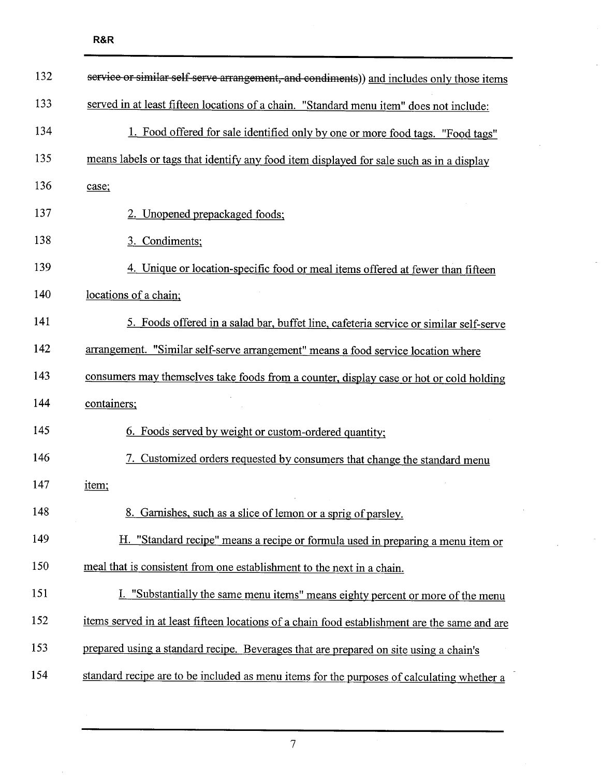$\mathcal{L}$ 

| 132 | service or similar self-serve arrangement, and condiments)) and includes only those items     |
|-----|-----------------------------------------------------------------------------------------------|
| 133 | served in at least fifteen locations of a chain. "Standard menu item" does not include:       |
| 134 | 1. Food offered for sale identified only by one or more food tags. "Food tags"                |
| 135 | means labels or tags that identify any food item displayed for sale such as in a display      |
| 136 | case;                                                                                         |
| 137 | 2. Unopened prepackaged foods;                                                                |
| 138 | 3. Condiments;                                                                                |
| 139 | 4. Unique or location-specific food or meal items offered at fewer than fifteen               |
| 140 | locations of a chain;                                                                         |
| 141 | 5. Foods offered in a salad bar, buffet line, cafeteria service or similar self-serve         |
| 142 | arrangement. "Similar self-serve arrangement" means a food service location where             |
| 143 | consumers may themselves take foods from a counter, display case or hot or cold holding       |
| 144 | containers;                                                                                   |
| 145 | 6. Foods served by weight or custom-ordered quantity;                                         |
| 146 | 7. Customized orders requested by consumers that change the standard menu                     |
| 147 | item;                                                                                         |
| 148 | 8. Garnishes, such as a slice of lemon or a sprig of parsley.                                 |
| 149 | H. "Standard recipe" means a recipe or formula used in preparing a menu item or               |
| 150 | meal that is consistent from one establishment to the next in a chain.                        |
| 151 | I. "Substantially the same menu items" means eighty percent or more of the menu               |
| 152 | items served in at least fifteen locations of a chain food establishment are the same and are |
| 153 | prepared using a standard recipe. Beverages that are prepared on site using a chain's         |
| 154 | standard recipe are to be included as menu items for the purposes of calculating whether a    |

7

 $\bar{\gamma}$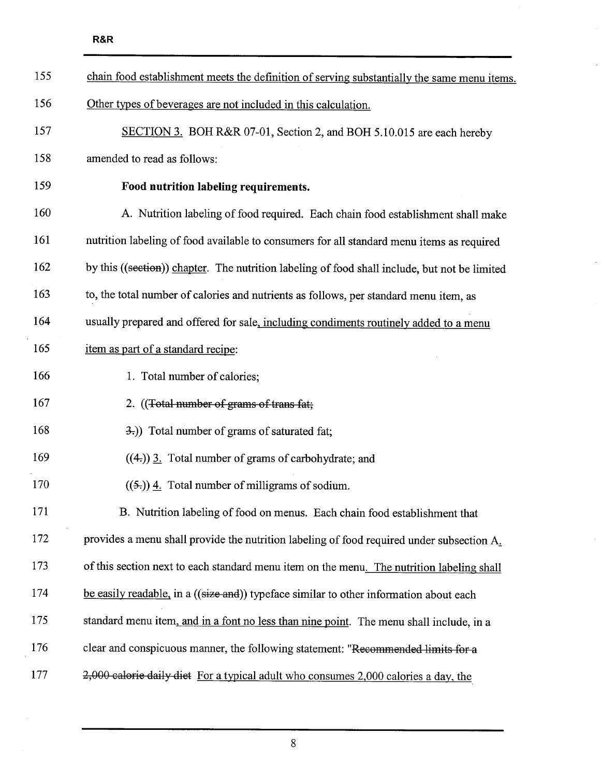| 155 | chain food establishment meets the definition of serving substantially the same menu items.   |
|-----|-----------------------------------------------------------------------------------------------|
| 156 | Other types of beverages are not included in this calculation.                                |
| 157 | SECTION 3. BOH R&R 07-01, Section 2, and BOH 5.10.015 are each hereby                         |
| 158 | amended to read as follows:                                                                   |
| 159 | Food nutrition labeling requirements.                                                         |
| 160 | A. Nutrition labeling of food required. Each chain food establishment shall make              |
| 161 | nutrition labeling of food available to consumers for all standard menu items as required     |
| 162 | by this ((section)) chapter. The nutrition labeling of food shall include, but not be limited |
| 163 | to, the total number of calories and nutrients as follows, per standard menu item, as         |
| 164 | usually prepared and offered for sale, including condiments routinely added to a menu         |
| 165 | item as part of a standard recipe:                                                            |
| 166 | 1. Total number of calories;                                                                  |
| 167 | 2. ((Total number of grams of trans fat;                                                      |
| 168 | 3.)) Total number of grams of saturated fat;                                                  |
| 169 | $((4))$ 3. Total number of grams of carbohydrate; and                                         |
| 170 | $((5))$ 4. Total number of milligrams of sodium.                                              |
| 171 | B. Nutrition labeling of food on menus. Each chain food establishment that                    |
| 172 | provides a menu shall provide the nutrition labeling of food required under subsection A.     |
| 173 | of this section next to each standard menu item on the menu. The nutrition labeling shall     |
| 174 | be easily readable, in a ((size and)) typeface similar to other information about each        |
| 175 | standard menu item, and in a font no less than nine point. The menu shall include, in a       |
| 176 | clear and conspicuous manner, the following statement: "Recommended limits for a              |
| 177 | 2,000 calorie daily diet For a typical adult who consumes 2,000 calories a day, the           |

 $\bar{\beta}$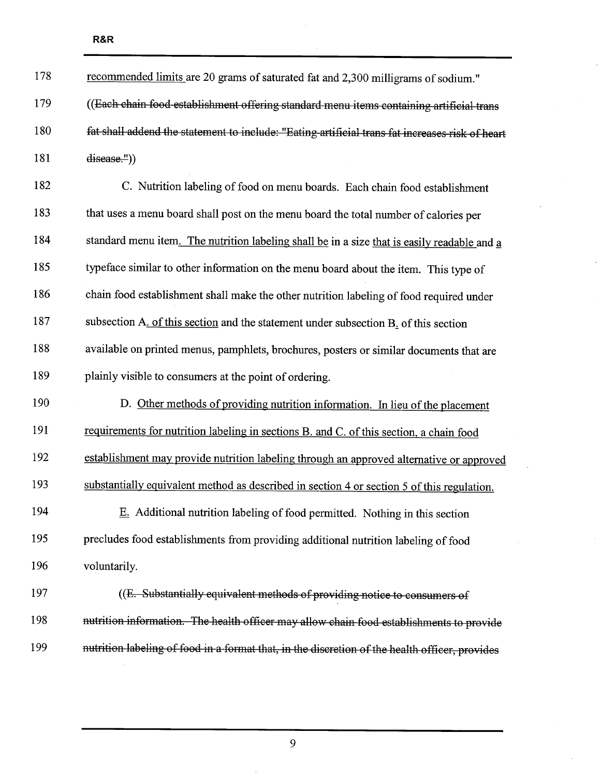| 178 | recommended limits are 20 grams of saturated fat and 2,300 milligrams of sodium."               |
|-----|-------------------------------------------------------------------------------------------------|
| 179 | ((Each chain food establishment offering standard menu items containing artificial trans        |
| 180 | fat shall addend the statement to include: "Eating-artificial trans fat increases-risk of heart |
| 181 | disease."))                                                                                     |
| 182 | C. Nutrition labeling of food on menu boards. Each chain food establishment                     |
| 183 | that uses a menu board shall post on the menu board the total number of calories per            |
| 184 | standard menu item. The nutrition labeling shall be in a size that is easily readable and a     |
| 185 | typeface similar to other information on the menu board about the item. This type of            |
| 186 | chain food establishment shall make the other nutrition labeling of food required under         |
| 187 | subsection A. of this section and the statement under subsection B. of this section             |
| 188 | available on printed menus, pamphlets, brochures, posters or similar documents that are         |
|     |                                                                                                 |
| 189 | plainly visible to consumers at the point of ordering.                                          |
| 190 | D. Other methods of providing nutrition information. In lieu of the placement                   |
| 191 | requirements for nutrition labeling in sections B. and C. of this section, a chain food         |
| 192 | establishment may provide nutrition labeling through an approved alternative or approved        |
| 193 | substantially equivalent method as described in section 4 or section 5 of this regulation.      |
| 194 | E. Additional nutrition labeling of food permitted. Nothing in this section                     |
| 195 | precludes food establishments from providing additional nutrition labeling of food              |
| 196 | voluntarily.                                                                                    |
| 197 | ((E. Substantially equivalent methods of providing notice to consumers of                       |
| 198 | nutrition information. The health officer may allow chain food establishments to provide        |

 $\bar{z}$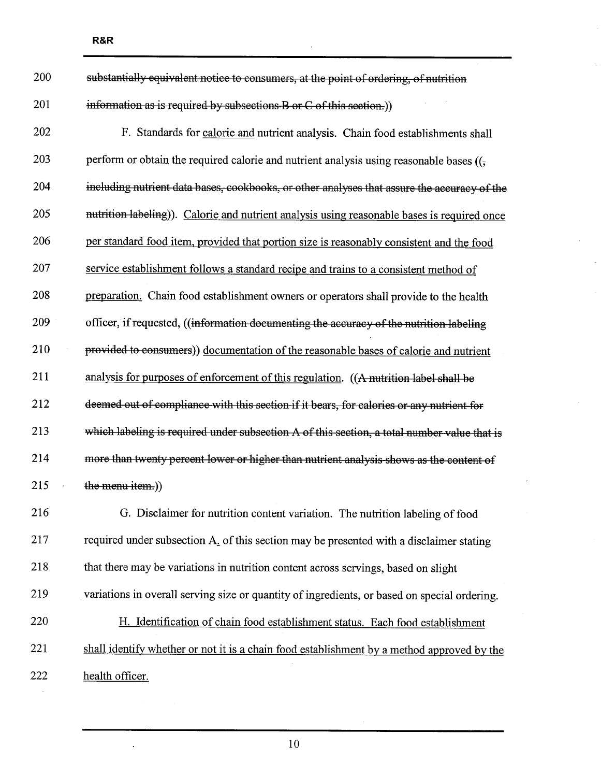| 200 | substantially equivalent notice to consumers, at the point of ordering, of nutrition                              |
|-----|-------------------------------------------------------------------------------------------------------------------|
| 201 | information as is required by subsections B or C of this section.)                                                |
| 202 | F. Standards for calorie and nutrient analysis. Chain food establishments shall                                   |
| 203 | perform or obtain the required calorie and nutrient analysis using reasonable bases $((\frac{1}{2}, \frac{1}{2})$ |
| 204 | including nutrient data bases, cookbooks, or other analyses that assure the accuracy of the                       |
| 205 | nutrition labeling)). Calorie and nutrient analysis using reasonable bases is required once                       |
| 206 | per standard food item, provided that portion size is reasonably consistent and the food                          |
| 207 | service establishment follows a standard recipe and trains to a consistent method of                              |
| 208 | preparation. Chain food establishment owners or operators shall provide to the health                             |
| 209 | officer, if requested, ((information documenting the accuracy of the nutrition labeling                           |
| 210 | provided to consumers)) documentation of the reasonable bases of calorie and nutrient                             |
| 211 | analysis for purposes of enforcement of this regulation. ((A nutrition label shall be                             |
| 212 | deemed out of compliance with this section if it bears, for calories or any nutrient for                          |
| 213 | which labeling is required under subsection A of this section, a total number value that is                       |
| 214 | more than twenty percent lower or higher than nutrient analysis shows as the content of                           |
| 215 | the menu item.)                                                                                                   |
| 216 | G. Disclaimer for nutrition content variation. The nutrition labeling of food                                     |
| 217 | required under subsection A. of this section may be presented with a disclaimer stating                           |
| 218 | that there may be variations in nutrition content across servings, based on slight                                |
| 219 | variations in overall serving size or quantity of ingredients, or based on special ordering.                      |
| 220 | H. Identification of chain food establishment status. Each food establishment                                     |
| 221 | shall identify whether or not it is a chain food establishment by a method approved by the                        |
| 222 | health officer.                                                                                                   |

10

 $\ddot{\phantom{0}}$ 

 $\sim$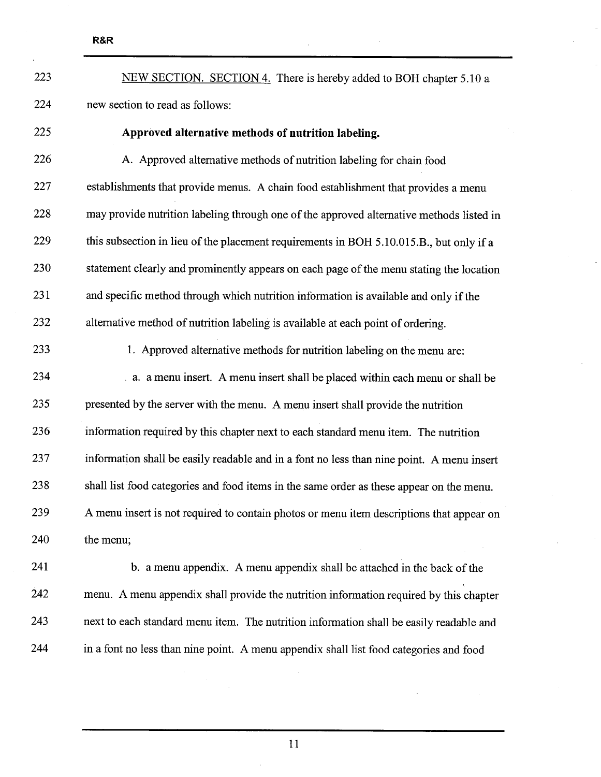223 NEW SECTION. SECTION 4. There is hereby added to BOH chapter 5.10 a 224 new section to read as follows:

## 225 Approved alternative methods of nutrition labeling.

226 A. Approved alternative methods of nutrition labeling for chain food 227 establishments that provide menus. A chain food establishment that provides a menu 228 may provide nutrition labeling through one of the approved alternative methods listed in 229 this subsection in lieu of the placement requirements in BOH 5.1O.015.B., but only if a 230 statement clearly and prominently appears on each page of the menu stating the location 231 and specific method through which nutrition information is available and only if the 232 alternative method of nutrition labeling is available at each point of ordering.

233 1. Approved alternative methods for nutrition labeling on the menu are:

234 a. a menu insert. A menu insert shall be placed within each menu or shall be 235 presented by the server with the menu. A menu insert shall provide the nutrition 236 information required by this chapter next to each standard menu item. The nutrition 237 information shall be easily readable and in a font no less than nine point. A menu insert 238 shall list food categories and food items in the same order as these appear on the menu. 239 A menu insert is not required to contain photos or menu item descriptions that appear on 240 the menu;

241 b. a menu appendix. A menu appendix shall be attached in the back of the 242 menu. A menu appendix shall provide the nutrition information required by this chapter 243 next to each standard menu item. The nutrition information shall be easily readable and 244 in a font no less than nine point. A menu appendix shall list food categories and food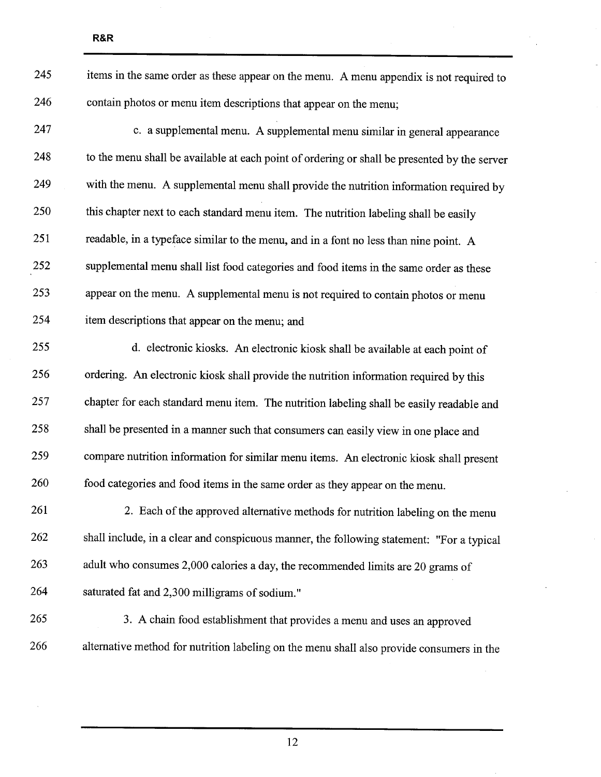| 245 | items in the same order as these appear on the menu. A menu appendix is not required to      |
|-----|----------------------------------------------------------------------------------------------|
| 246 | contain photos or menu item descriptions that appear on the menu;                            |
| 247 | c. a supplemental menu. A supplemental menu similar in general appearance                    |
| 248 | to the menu shall be available at each point of ordering or shall be presented by the server |
| 249 | with the menu. A supplemental menu shall provide the nutrition information required by       |
| 250 | this chapter next to each standard menu item. The nutrition labeling shall be easily         |
| 251 | readable, in a typeface similar to the menu, and in a font no less than nine point. A        |
| 252 | supplemental menu shall list food categories and food items in the same order as these       |
| 253 | appear on the menu. A supplemental menu is not required to contain photos or menu            |
| 254 | item descriptions that appear on the menu; and                                               |
| 255 | d. electronic kiosks. An electronic kiosk shall be available at each point of                |
| 256 | ordering. An electronic kiosk shall provide the nutrition information required by this       |
| 257 | chapter for each standard menu item. The nutrition labeling shall be easily readable and     |
| 258 | shall be presented in a manner such that consumers can easily view in one place and          |
| 259 | compare nutrition information for similar menu items. An electronic kiosk shall present      |
| 260 | food categories and food items in the same order as they appear on the menu.                 |
| 261 | 2. Each of the approved alternative methods for nutrition labeling on the menu               |
| 262 | shall include, in a clear and conspicuous manner, the following statement: "For a typical    |
| 263 | adult who consumes 2,000 calories a day, the recommended limits are 20 grams of              |
| 264 | saturated fat and 2,300 milligrams of sodium."                                               |
| 265 | 3. A chain food establishment that provides a menu and uses an approved                      |
| 266 | alternative method for nutrition labeling on the menu shall also provide consumers in the    |

R&R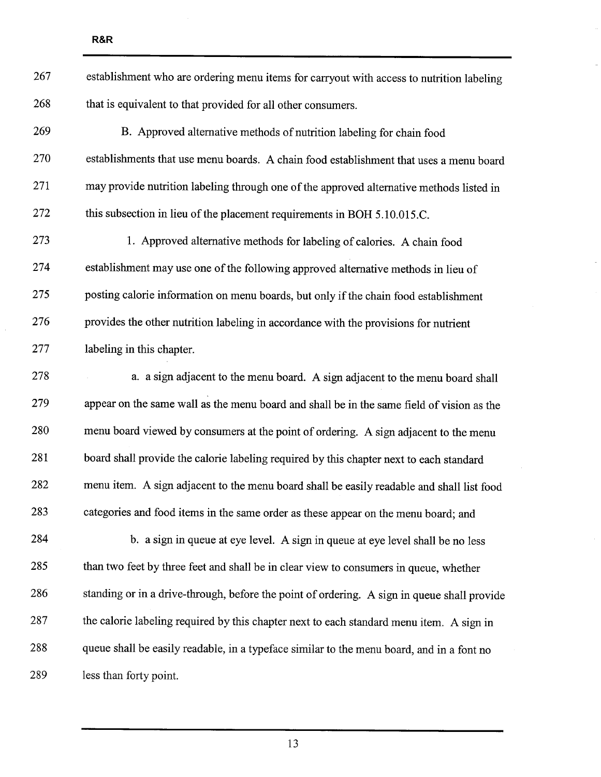| 267 | establishment who are ordering menu items for carryout with access to nutrition labeling    |
|-----|---------------------------------------------------------------------------------------------|
| 268 | that is equivalent to that provided for all other consumers.                                |
| 269 | B. Approved alternative methods of nutrition labeling for chain food                        |
| 270 | establishments that use menu boards. A chain food establishment that uses a menu board      |
| 271 | may provide nutrition labeling through one of the approved alternative methods listed in    |
| 272 | this subsection in lieu of the placement requirements in BOH 5.10.015.C.                    |
| 273 | 1. Approved alternative methods for labeling of calories. A chain food                      |
| 274 | establishment may use one of the following approved alternative methods in lieu of          |
| 275 | posting calorie information on menu boards, but only if the chain food establishment        |
| 276 | provides the other nutrition labeling in accordance with the provisions for nutrient        |
| 277 | labeling in this chapter.                                                                   |
| 278 | a. a sign adjacent to the menu board. A sign adjacent to the menu board shall               |
| 279 | appear on the same wall as the menu board and shall be in the same field of vision as the   |
| 280 | menu board viewed by consumers at the point of ordering. A sign adjacent to the menu        |
| 281 | board shall provide the calorie labeling required by this chapter next to each standard     |
| 282 | menu item. A sign adjacent to the menu board shall be easily readable and shall list food   |
| 283 | categories and food items in the same order as these appear on the menu board; and          |
| 284 | b. a sign in queue at eye level. A sign in queue at eye level shall be no less              |
| 285 | than two feet by three feet and shall be in clear view to consumers in queue, whether       |
| 286 | standing or in a drive-through, before the point of ordering. A sign in queue shall provide |
| 287 | the calorie labeling required by this chapter next to each standard menu item. A sign in    |
| 288 | queue shall be easily readable, in a typeface similar to the menu board, and in a font no   |
| 289 | less than forty point.                                                                      |

 $\ddot{\phantom{a}}$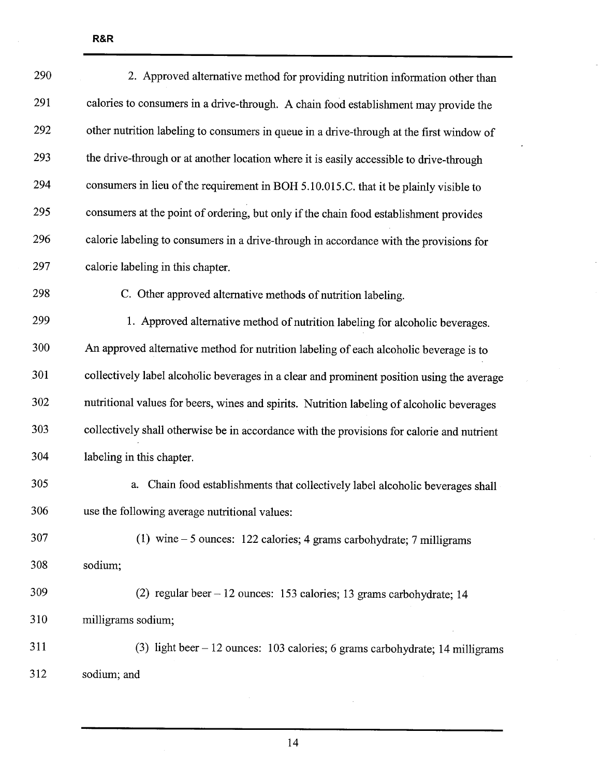| 290 | 2. Approved alternative method for providing nutrition information other than              |
|-----|--------------------------------------------------------------------------------------------|
| 291 | calories to consumers in a drive-through. A chain food establishment may provide the       |
| 292 | other nutrition labeling to consumers in queue in a drive-through at the first window of   |
| 293 | the drive-through or at another location where it is easily accessible to drive-through    |
| 294 | consumers in lieu of the requirement in BOH 5.10.015.C. that it be plainly visible to      |
| 295 | consumers at the point of ordering, but only if the chain food establishment provides      |
| 296 | calorie labeling to consumers in a drive-through in accordance with the provisions for     |
| 297 | calorie labeling in this chapter.                                                          |
| 298 | C. Other approved alternative methods of nutrition labeling.                               |
| 299 | 1. Approved alternative method of nutrition labeling for alcoholic beverages.              |
| 300 | An approved alternative method for nutrition labeling of each alcoholic beverage is to     |
| 301 | collectively label alcoholic beverages in a clear and prominent position using the average |
| 302 | nutritional values for beers, wines and spirits. Nutrition labeling of alcoholic beverages |
| 303 | collectively shall otherwise be in accordance with the provisions for calorie and nutrient |
| 304 | labeling in this chapter.                                                                  |
| 305 | Chain food establishments that collectively label alcoholic beverages shall<br>a.          |
| 306 | use the following average nutritional values:                                              |
| 307 | (1) wine $-5$ ounces: 122 calories; 4 grams carbohydrate; 7 milligrams                     |
| 308 | sodium;                                                                                    |
| 309 | (2) regular beer $-12$ ounces: 153 calories; 13 grams carbohydrate; 14                     |
| 310 | milligrams sodium;                                                                         |
| 311 | (3) light beer $-12$ ounces: 103 calories; 6 grams carbohydrate; 14 milligrams             |
| 312 | sodium; and                                                                                |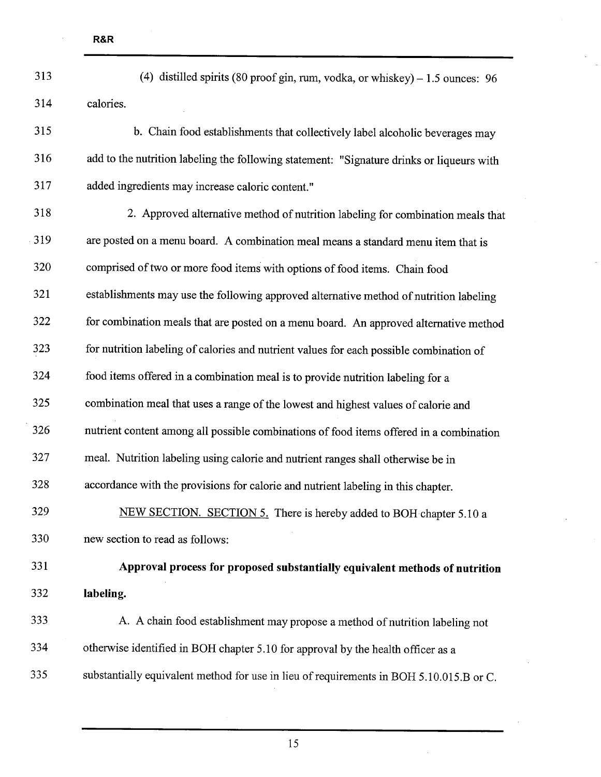| 313 | (4) distilled spirits (80 proof gin, rum, vodka, or whiskey) $-1.5$ ounces: 96            |
|-----|-------------------------------------------------------------------------------------------|
| 314 | calories.                                                                                 |
| 315 | b. Chain food establishments that collectively label alcoholic beverages may              |
| 316 | add to the nutrition labeling the following statement: "Signature drinks or liqueurs with |
| 317 | added ingredients may increase caloric content."                                          |
| 318 | 2. Approved alternative method of nutrition labeling for combination meals that           |
| 319 | are posted on a menu board. A combination meal means a standard menu item that is         |
| 320 | comprised of two or more food items with options of food items. Chain food                |
| 321 | establishments may use the following approved alternative method of nutrition labeling    |
| 322 | for combination meals that are posted on a menu board. An approved alternative method     |
| 323 | for nutrition labeling of calories and nutrient values for each possible combination of   |
| 324 | food items offered in a combination meal is to provide nutrition labeling for a           |
| 325 | combination meal that uses a range of the lowest and highest values of calorie and        |
| 326 | nutrient content among all possible combinations of food items offered in a combination   |
| 327 | meal. Nutrition labeling using calorie and nutrient ranges shall otherwise be in          |
| 328 | accordance with the provisions for calorie and nutrient labeling in this chapter.         |
| 329 | NEW SECTION. SECTION 5. There is hereby added to BOH chapter 5.10 a                       |
| 330 | new section to read as follows:                                                           |
| 331 | Approval process for proposed substantially equivalent methods of nutrition               |
| 332 | labeling.                                                                                 |
| 333 | A. A chain food establishment may propose a method of nutrition labeling not              |
| 334 | otherwise identified in BOH chapter 5.10 for approval by the health officer as a          |
| 335 | substantially equivalent method for use in lieu of requirements in BOH 5.10.015.B or C.   |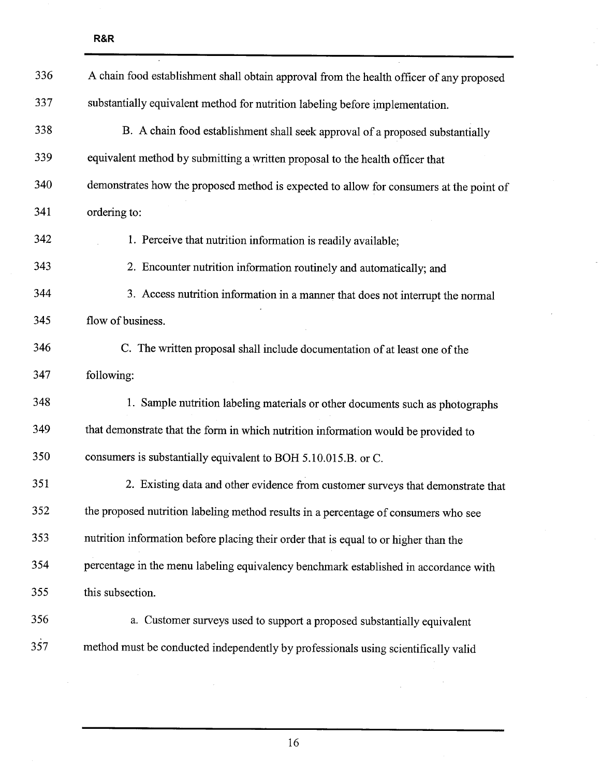| 336 | A chain food establishment shall obtain approval from the health officer of any proposed |
|-----|------------------------------------------------------------------------------------------|
| 337 | substantially equivalent method for nutrition labeling before implementation.            |
| 338 | B. A chain food establishment shall seek approval of a proposed substantially            |
| 339 | equivalent method by submitting a written proposal to the health officer that            |
| 340 | demonstrates how the proposed method is expected to allow for consumers at the point of  |
| 341 | ordering to:                                                                             |
| 342 | 1. Perceive that nutrition information is readily available;                             |
| 343 | 2. Encounter nutrition information routinely and automatically; and                      |
| 344 | 3. Access nutrition information in a manner that does not interrupt the normal           |
| 345 | flow of business.                                                                        |
| 346 | C. The written proposal shall include documentation of at least one of the               |
| 347 | following:                                                                               |
| 348 | 1. Sample nutrition labeling materials or other documents such as photographs            |
| 349 | that demonstrate that the form in which nutrition information would be provided to       |
| 350 | consumers is substantially equivalent to BOH 5.10.015.B. or C.                           |
| 351 | 2. Existing data and other evidence from customer surveys that demonstrate that          |
| 352 | the proposed nutrition labeling method results in a percentage of consumers who see      |
| 353 | nutrition information before placing their order that is equal to or higher than the     |
| 354 | percentage in the menu labeling equivalency benchmark established in accordance with     |
| 355 | this subsection.                                                                         |
| 356 | a. Customer surveys used to support a proposed substantially equivalent                  |
| 357 | method must be conducted independently by professionals using scientifically valid       |

 $\overline{\phantom{a}}$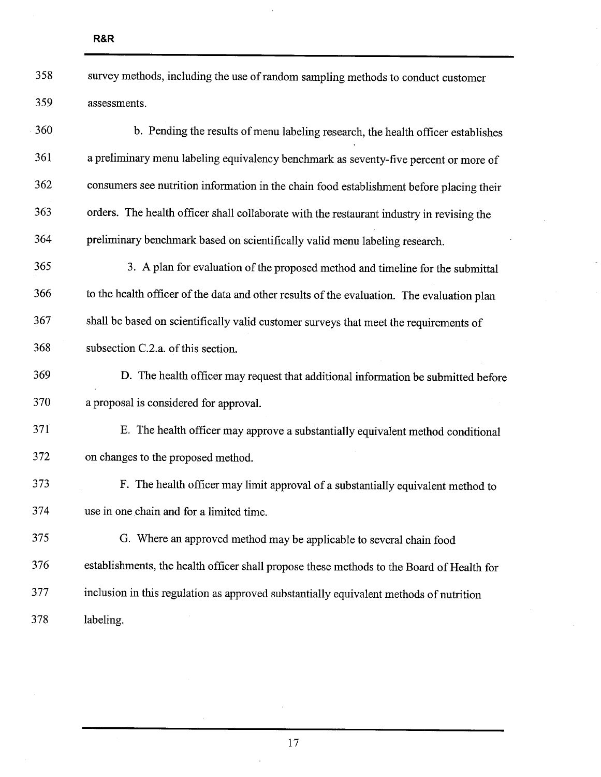| 358 | survey methods, including the use of random sampling methods to conduct customer |
|-----|----------------------------------------------------------------------------------|
| 359 | assessments.                                                                     |

360 b. Pending the results of menu labeling research, the health officer establishes 361 a preliminary menu labeling equivalency benchmark as seventy-five percent or more of 362 consumers see nutrition information in the chain food establishment before placing their 363 orders. The health officer shall collaborate with the restaurant industry in revising the 364 preliminary benchmark based on scientifically valid menu labeling research. 365 3. A plan for evaluation of the proposed method and timeline for the submittal

366 to the health officer of the data and other results of the evaluation. The evaluation plan 367 shall be based on scientifically valid customer sureys that meet the requirements of 368 subsection C.2.a. of this section.

369 D. The health officer may request that additional information be submitted before 370 a proposal is considered for approval.

371 E. The health officer may approve a substantially equivalent method conditional 372 on changes to the proposed method.

373 F. The health officer may limit approval of a substantially equivalent method to 374 use in one chain and for a limited time.

375 G. Where an approved method may be applicable to several chain food 376 establishments, the health officer shall propose these methods to the Board of Health for 377 inclusion in this regulation as approved substantially equivalent methods of nutrition 378 labeling.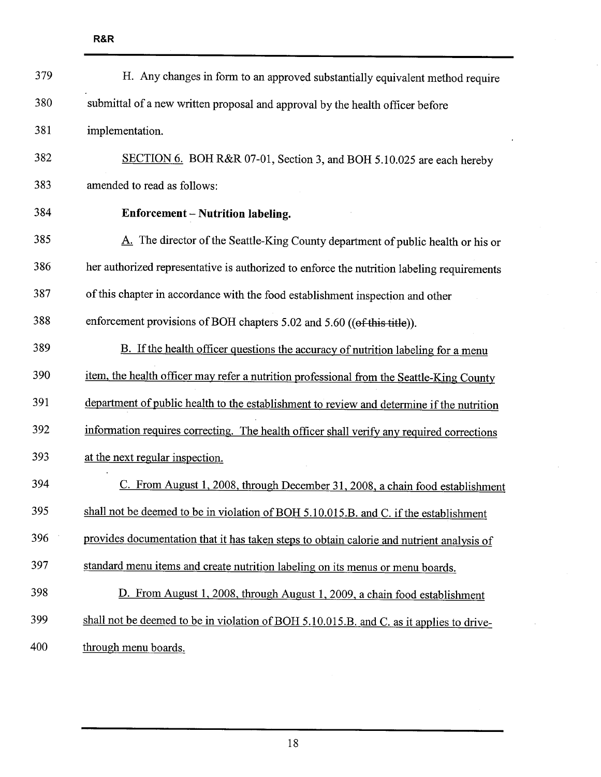| 379 | H. Any changes in form to an approved substantially equivalent method require              |
|-----|--------------------------------------------------------------------------------------------|
| 380 | submittal of a new written proposal and approval by the health officer before              |
| 381 | implementation.                                                                            |
| 382 | SECTION 6. BOH R&R 07-01, Section 3, and BOH 5.10.025 are each hereby                      |
| 383 | amended to read as follows:                                                                |
| 384 | Enforcement – Nutrition labeling.                                                          |
| 385 | A. The director of the Seattle-King County department of public health or his or           |
| 386 | her authorized representative is authorized to enforce the nutrition labeling requirements |
| 387 | of this chapter in accordance with the food establishment inspection and other             |
| 388 | enforcement provisions of BOH chapters 5.02 and 5.60 ((of this title)).                    |
| 389 | B. If the health officer questions the accuracy of nutrition labeling for a menu           |
| 390 | item, the health officer may refer a nutrition professional from the Seattle-King County   |
| 391 | department of public health to the establishment to review and determine if the nutrition  |
| 392 | information requires correcting. The health officer shall verify any required corrections  |
| 393 | at the next regular inspection.                                                            |
| 394 | C. From August 1, 2008, through December 31, 2008, a chain food establishment              |
| 395 | shall not be deemed to be in violation of BOH 5.10.015.B. and C. if the establishment      |
| 396 | provides documentation that it has taken steps to obtain calorie and nutrient analysis of  |
| 397 | standard menu items and create nutrition labeling on its menus or menu boards.             |
| 398 | D. From August 1, 2008, through August 1, 2009, a chain food establishment                 |
| 399 | shall not be deemed to be in violation of BOH 5.10.015.B. and C, as it applies to drive-   |
| 400 | through menu boards.                                                                       |

 $\overline{a}$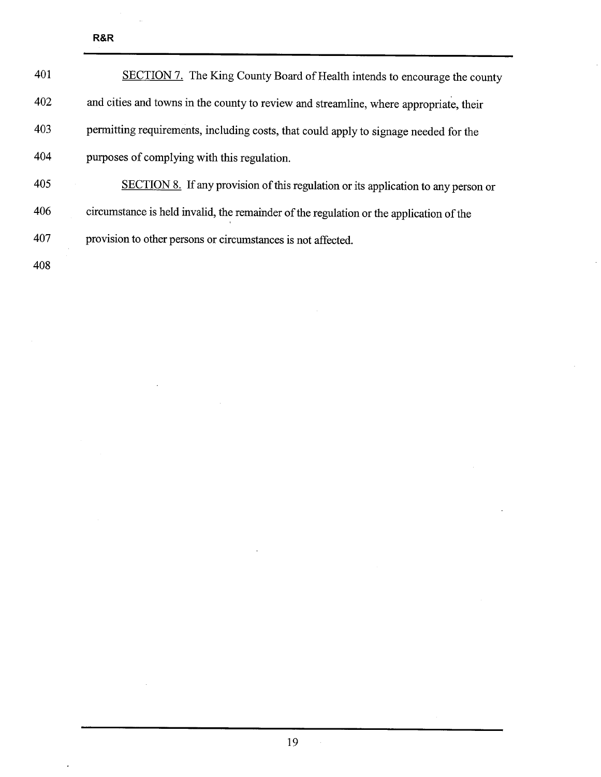| 401 | SECTION 7. The King County Board of Health intends to encourage the county              |
|-----|-----------------------------------------------------------------------------------------|
| 402 | and cities and towns in the county to review and streamline, where appropriate, their   |
| 403 | permitting requirements, including costs, that could apply to signage needed for the    |
| 404 | purposes of complying with this regulation.                                             |
| 405 | SECTION 8. If any provision of this regulation or its application to any person or      |
| 406 | circumstance is held invalid, the remainder of the regulation or the application of the |
| 407 | provision to other persons or circumstances is not affected.                            |
| 408 |                                                                                         |